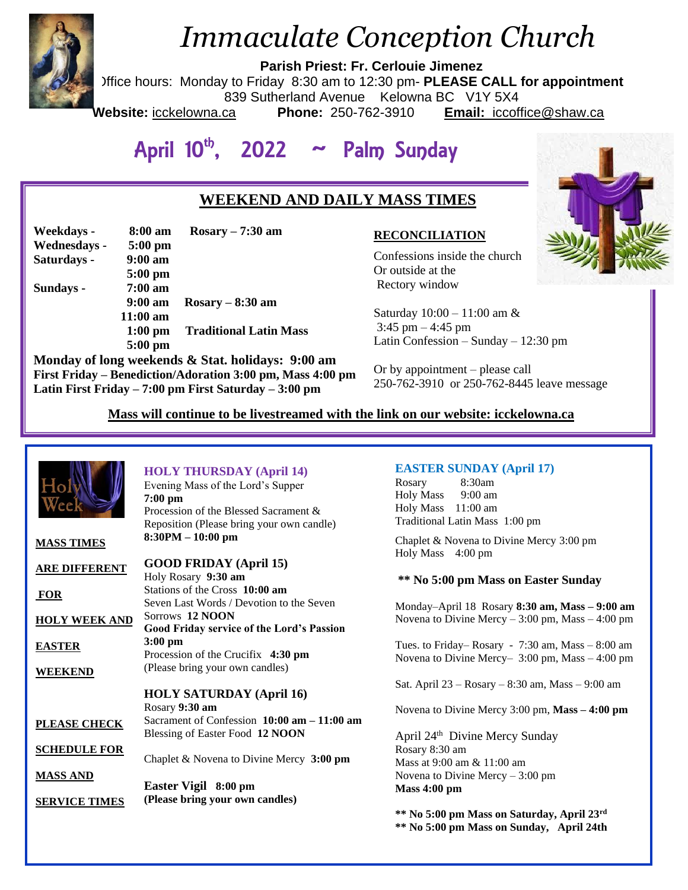

# *Immaculate Conception Church*

**Parish Priest: Fr. Cerlouie Jimenez**

Office hours: Monday to Friday 8:30 am to 12:30 pm- **PLEASE CALL for appointment**

839 Sutherland Avenue Kelowna BC V1Y 5X4

**Website:** icckelowna.ca **Phone:** 250-762-3910 **Email:** iccoffice@shaw.ca

# April 10<sup>th</sup>, 2022 ~ Palm Sunday

### **WEEKEND AND DAILY MASS TIMES**

| Weekdays -   | 8:00 am           | $Rosary - 7:30$ am            |
|--------------|-------------------|-------------------------------|
| Wednesdays - | $5:00$ pm         |                               |
| Saturdays -  | $9:00 \text{ am}$ |                               |
|              | $5:00$ pm         |                               |
| Sundays -    | $7:00 \text{ am}$ |                               |
|              | $9:00 \text{ am}$ | $Rosary - 8:30$ am            |
|              | $11:00$ am        |                               |
|              | $1:00$ pm         | <b>Traditional Latin Mass</b> |
|              | $5:00$ pm         |                               |

**Monday of long weekends & Stat. holidays: 9:00 am First Friday – Benediction/Adoration 3:00 pm, Mass 4:00 pm Latin First Friday – 7:00 pm First Saturday – 3:00 pm** 

#### **RECONCILIATION**

Confessions inside the church Or outside at the Rectory window

Saturday 10:00 – 11:00 am & 3:45 pm – 4:45 pm Latin Confession – Sunday – 12:30 pm

Or by appointment – please call 250-762-3910 or 250-762-8445 leave message

 **Mass will continue to be livestreamed with the link on our website: icckelowna.ca**

| ٦o.                                     | <b>HOLY THURSDAY (April 14)</b><br>Evening Mass of the Lord's Supper<br>$7:00$ pm<br>Procession of the Blessed Sacrament &<br>Reposition (Please bring your own candle) | <b>EASTER SUNDAY (April 17)</b><br>8:30am<br>Rosary<br><b>Holy Mass</b><br>9:00 am<br>Holy Mass 11:00 am<br>Traditional Latin Mass 1:00 pm |
|-----------------------------------------|-------------------------------------------------------------------------------------------------------------------------------------------------------------------------|--------------------------------------------------------------------------------------------------------------------------------------------|
| <b>MASS TIMES</b>                       | 8:30PM - 10:00 pm                                                                                                                                                       | Chaplet & Novena to Divine Mercy 3:00 pm<br>Holy Mass 4:00 pm                                                                              |
| <b>ARE DIFFERENT</b>                    | <b>GOOD FRIDAY</b> (April 15)<br>Holy Rosary 9:30 am<br>Stations of the Cross 10:00 am                                                                                  | ** No 5:00 pm Mass on Easter Sunday                                                                                                        |
| <b>FOR</b><br><b>HOLY WEEK AND</b>      | Seven Last Words / Devotion to the Seven<br>Sorrows 12 NOON                                                                                                             | Monday-April 18 Rosary 8:30 am, Mass - 9:00 am<br>Novena to Divine Mercy $-3:00$ pm, Mass $-4:00$ pm                                       |
| <b>EASTER</b>                           | Good Friday service of the Lord's Passion<br>$3:00$ pm<br>Procession of the Crucifix 4:30 pm                                                                            | Tues. to Friday–Rosary - $7:30$ am, Mass – $8:00$ am                                                                                       |
| <b>WEEKEND</b>                          | (Please bring your own candles)                                                                                                                                         | Novena to Divine Mercy- $3:00 \text{ pm}$ , Mass $-4:00 \text{ pm}$<br>Sat. April $23 - Rosary - 8:30$ am, Mass $- 9:00$ am                |
|                                         | <b>HOLY SATURDAY (April 16)</b><br>Rosary 9:30 am                                                                                                                       | Novena to Divine Mercy 3:00 pm, $Mass - 4:00$ pm                                                                                           |
| PLEASE CHECK                            | Sacrament of Confession $10:00$ am $-11:00$ am<br>Blessing of Easter Food 12 NOON                                                                                       | April 24 <sup>th</sup> Divine Mercy Sunday                                                                                                 |
| <b>SCHEDULE FOR</b>                     | Chaplet & Novena to Divine Mercy 3:00 pm                                                                                                                                | Rosary 8:30 am<br>Mass at 9:00 am & 11:00 am                                                                                               |
| <b>MASS AND</b><br><b>SERVICE TIMES</b> | Easter Vigil 8:00 pm<br>(Please bring your own candles)                                                                                                                 | Novena to Divine Mercy $-3:00$ pm<br><b>Mass 4:00 pm</b>                                                                                   |
|                                         |                                                                                                                                                                         | ** No 5:00 pm Mass on Saturday, April 23rd<br>** No 5:00 pm Mass on Sunday, April 24th                                                     |

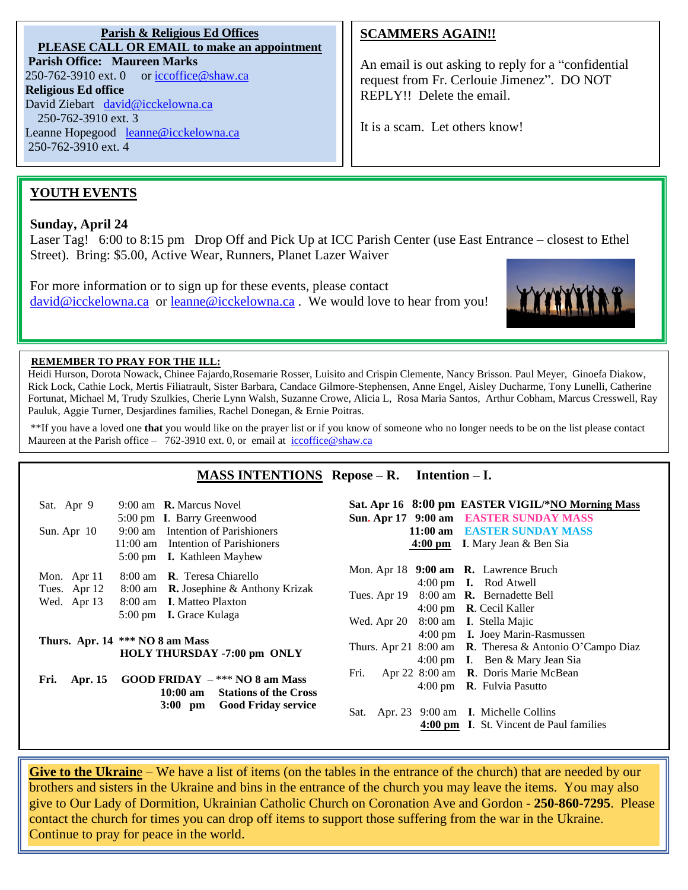**Parish & Religious Ed Offices PLEASE CALL OR EMAIL to make an appointment Parish Office: Maureen Marks**   $250-762-3910$  ext. 0 or [iccoffice@shaw.ca](mailto:iccoffice@shaw.ca) **Religious Ed office** David Ziebart [david@icckelowna.ca](mailto:david@icckelowna.ca)  250-762-3910 ext. 3 Leanne Hopegood [leanne@icckelowna.ca](mailto:leanne@icckelowna.ca) 250-762-3910 ext. 4

#### **SCAMMERS AGAIN!!**

An email is out asking to reply for a "confidential request from Fr. Cerlouie Jimenez". DO NOT REPLY!! Delete the email.

It is a scam. Let others know!

#### **YOUTH EVENTS**

#### **Sunday, April 24**

l

Laser Tag! 6:00 to 8:15 pm Drop Off and Pick Up at ICC Parish Center (use East Entrance – closest to Ethel Street). Bring: \$5.00, Active Wear, Runners, Planet Lazer Waiver

For more information or to sign up for these events, please contact [david@icckelowna.ca](mailto:david@icckelowna.ca) or [leanne@icckelowna.ca](mailto:leanne@icckelowna.ca) . We would love to hear from you!



#### **REMEMBER TO PRAY FOR THE ILL:**

Heidi Hurson, Dorota Nowack, Chinee Fajardo,Rosemarie Rosser, Luisito and Crispin Clemente, Nancy Brisson. Paul Meyer, Ginoefa Diakow, Rick Lock, Cathie Lock, Mertis Filiatrault, Sister Barbara, Candace Gilmore-Stephensen, Anne Engel, Aisley Ducharme, Tony Lunelli, Catherine Fortunat, Michael M, Trudy Szulkies, Cherie Lynn Walsh, Suzanne Crowe, Alicia L, Rosa Maria Santos, Arthur Cobham, Marcus Cresswell, Ray Pauluk, Aggie Turner, Desjardines families, Rachel Donegan, & Ernie Poitras.

\*\*If you have a loved one **that** you would like on the prayer list or if you know of someone who no longer needs to be on the list please contact Maureen at the Parish office – 762-3910 ext. 0, or email at iccoffice@shaw.ca

#### **MASS INTENTIONS Repose – R. Intention – I.**

| 9:00 am <b>R.</b> Marcus Novel<br>Sat. Apr 9<br>5:00 pm I. Barry Greenwood<br>9:00 am Intention of Parishioners<br>Sun. Apr $10$<br>11:00 am Intention of Parishioners<br>5:00 pm <b>I.</b> Kathleen Mayhew | Sat. Apr 16 8:00 pm EASTER VIGIL/*NO Morning Mass<br>Sun. Apr 17 9:00 am EASTER SUNDAY MASS<br>11:00 am EASTER SUNDAY MASS<br>4:00 pm I. Mary Jean $\&$ Ben Sia                    |
|-------------------------------------------------------------------------------------------------------------------------------------------------------------------------------------------------------------|------------------------------------------------------------------------------------------------------------------------------------------------------------------------------------|
| 8:00 am <b>R</b> . Teresa Chiarello<br>Mon. Apr 11<br>Tues. Apr 12 8:00 am <b>R.</b> Josephine & Anthony Krizak<br>8:00 am I. Matteo Plaxton<br>Wed. Apr 13<br>5:00 pm <b>I.</b> Grace Kulaga               | Mon. Apr 18 9:00 am R. Lawrence Bruch<br>4:00 pm <b>I.</b> Rod Atwell<br>Tues. Apr 19 8:00 am R. Bernadette Bell<br>4:00 pm R. Cecil Kaller<br>Wed. Apr 20 8:00 am I. Stella Majic |
| Thurs. Apr. $14$ *** NO 8 am Mass                                                                                                                                                                           | 4:00 pm I. Joey Marin-Rasmussen                                                                                                                                                    |
| HOLY THURSDAY -7:00 pm ONLY                                                                                                                                                                                 | Thurs. Apr 21 8:00 am R. Theresa & Antonio O'Campo Diaz                                                                                                                            |
| GOOD FRIDAY $-***$ NO 8 am Mass                                                                                                                                                                             | 4:00 pm I. Ben & Mary Jean Sia                                                                                                                                                     |
| Apr. 15                                                                                                                                                                                                     | Apr 22 8:00 am R. Doris Marie McBean                                                                                                                                               |
| Fri.                                                                                                                                                                                                        | Fri.                                                                                                                                                                               |
| 10:00 am Stations of the Cross                                                                                                                                                                              | 4:00 pm $\,$ <b>R</b> . Fulvia Pasutto                                                                                                                                             |
| <b>Good Friday service</b>                                                                                                                                                                                  | Sat. Apr. 23 9:00 am I. Michelle Collins                                                                                                                                           |
| $3:00$ pm                                                                                                                                                                                                   | 4:00 pm I. St. Vincent de Paul families                                                                                                                                            |

**Give to the Ukrain**e – We have a list of items (on the tables in the entrance of the church) that are needed by our brothers and sisters in the Ukraine and bins in the entrance of the church you may leave the items. You may also give to Our Lady of Dormition, Ukrainian Catholic Church on Coronation Ave and Gordon - **250-860-7295**. Please contact the church for times you can drop off items to support those suffering from the war in the Ukraine. Continue to pray for peace in the world.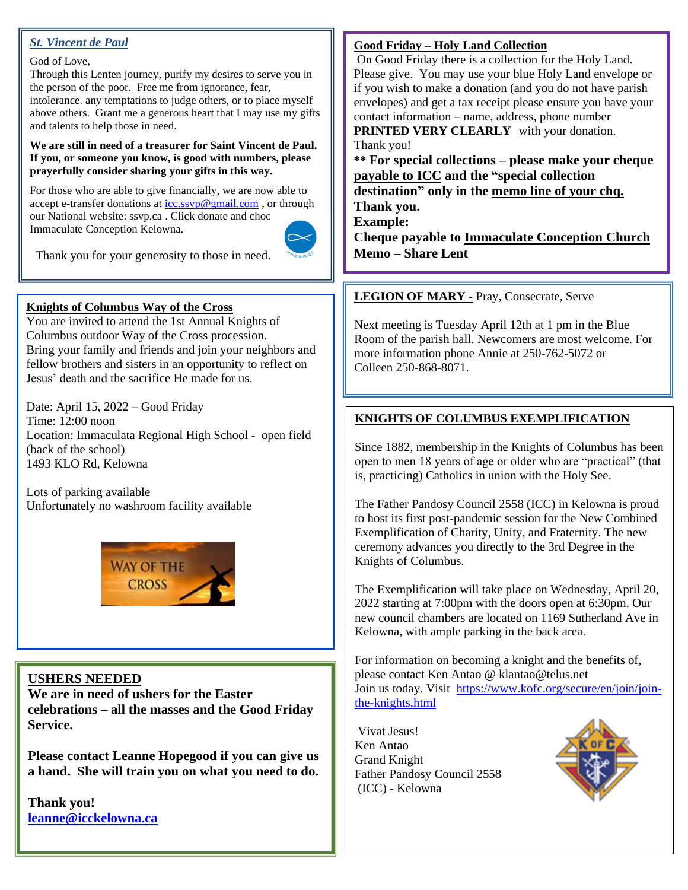#### *St. Vincent de Paul*

## God of Love,

Through this Lenten journey, purify my desires to serve you in the person of the poor. Free me from ignorance, fear, intolerance. any temptations to judge others, or to place myself above others. Grant me a generous heart that I may use my gifts and talents to help those in need.

#### **We are still in need of a treasurer for Saint Vincent de Paul. If you, or someone you know, is good with numbers, please prayerfully consider sharing your gifts in this way.**

For those who are able to give financially, we are now able to accept e-transfer donations at  $icc.svp@gmail.com$ , or through our National website: ssvp.ca . Click donate and choose Immaculate Conception Kelowna.



Thank you for your generosity to those in need.

#### **Knights of Columbus Way of the Cross**

You are invited to attend the 1st Annual Knights of Columbus outdoor Way of the Cross procession. Bring your family and friends and join your neighbors and fellow brothers and sisters in an opportunity to reflect on Jesus' death and the sacrifice He made for us.

Date: April 15, 2022 – Good Friday Time: 12:00 noon Location: Immaculata Regional High School - open field (back of the school) 1493 KLO Rd, Kelowna

Lots of parking available Unfortunately no washroom facility available



#### **USHERS NEEDED**

**We are in need of ushers for the Easter celebrations – all the masses and the Good Friday Service.**

**Please contact Leanne Hopegood if you can give us a hand. She will train you on what you need to do.**

**Thank you! [leanne@icckelowna.ca](mailto:leanne@icckelowna.ca)**

#### **Good Friday – Holy Land Collection**

On Good Friday there is a collection for the Holy Land. Please give. You may use your blue Holy Land envelope or if you wish to make a donation (and you do not have parish envelopes) and get a tax receipt please ensure you have your contact information – name, address, phone number

**PRINTED VERY CLEARLY** with your donation. Thank you!

**\*\* For special collections – please make your cheque payable to ICC and the "special collection destination" only in the memo line of your chq. Thank you.** 

**Example:** 

**Cheque payable to Immaculate Conception Church Memo – Share Lent**

#### **LEGION OF MARY -** Pray, Consecrate, Serve

Next meeting is Tuesday April 12th at 1 pm in the Blue Room of the parish hall. Newcomers are most welcome. For more information phone Annie at 250-762-5072 or Colleen 250-868-8071.

#### **KNIGHTS OF COLUMBUS EXEMPLIFICATION**

Since 1882, membership in the Knights of Columbus has been open to men 18 years of age or older who are "practical" (that is, practicing) Catholics in union with the Holy See.

The Father Pandosy Council 2558 (ICC) in Kelowna is proud to host its first post-pandemic session for the New Combined Exemplification of Charity, Unity, and Fraternity. The new ceremony advances you directly to the 3rd Degree in the Knights of Columbus.

The Exemplification will take place on Wednesday, April 20, 2022 starting at 7:00pm with the doors open at 6:30pm. Our new council chambers are located on 1169 Sutherland Ave in Kelowna, with ample parking in the back area.

For information on becoming a knight and the benefits of, please contact Ken Antao @ klantao@telus.net Join us today. Visit [https://www.kofc.org/secure/en/join/join](https://www.kofc.org/secure/en/join/join-the-knights.html)[the-knights.html](https://www.kofc.org/secure/en/join/join-the-knights.html) 

Vivat Jesus! Ken Antao Grand Knight Father Pandosy Council 2558 (ICC) - Kelowna